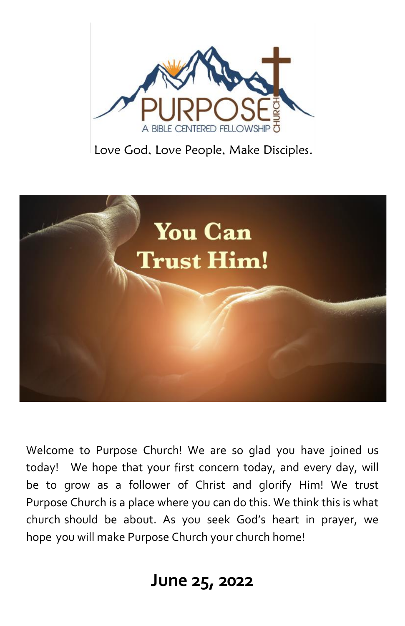

Love God, Love People, Make Disciples.



Welcome to Purpose Church! We are so glad you have joined us today! We hope that your first concern today, and every day, will be to grow as a follower of Christ and glorify Him! We trust Purpose Church is a place where you can do this. We think this is what church should be about. As you seek God's heart in prayer, we hope you will make Purpose Church your church home!

## **June 25, 2022**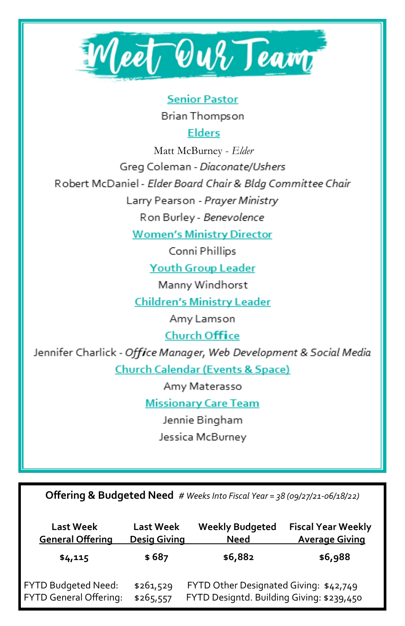

**Senior Pastor** 

Brian Thompson

**Elders** 

Matt McBurney - Elder Greg Coleman - Diaconate/Ushers Robert McDaniel - Elder Board Chair & Bldg Committee Chair Larry Pearson - Prayer Ministry

Ron Burley - Benevolence

**Women's Ministry Director** 

Conni Phillips

**Youth Group Leader** 

Manny Windhorst

**Children's Ministry Leader** 

Amy Lamson

**Church Office** 

Jennifer Charlick - Office Manager, Web Development & Social Media **Church Calendar (Events & Space)** 

Amy Materasso

**Missionary Care Team** 

Jennie Bingham

Jessica McBurney

Offering & Budgeted Need # Weeks Into Fiscal Year = 38 (09/27/21-06/18/22)

| <b>Last Week</b>        | <b>Last Week</b>    | <b>Weekly Budgeted</b>                    | <b>Fiscal Year Weekly</b> |
|-------------------------|---------------------|-------------------------------------------|---------------------------|
| <b>General Offering</b> | <b>Desig Giving</b> | Need                                      | <b>Average Giving</b>     |
| \$4,115                 | \$687               | \$6,882                                   | \$6,988                   |
| FYTD Budgeted Need:     | \$261,529           | FYTD Other Designated Giving: \$42,749    |                           |
| FYTD General Offering:  | \$265,557           | FYTD Designtd. Building Giving: \$239,450 |                           |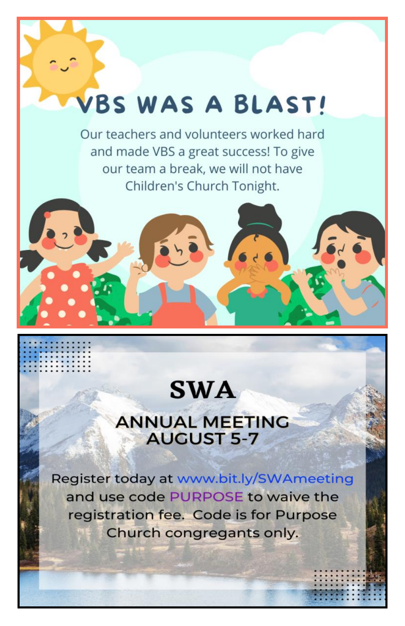## VBS WAS A BLAST!

Our teachers and volunteers worked hard and made VBS a great success! To give our team a break, we will not have Children's Church Tonight.

## **SWA**

## **ANNUAL MEETING AUGUST 5-7**

Register today at www.bit.ly/SWAmeeting and use code PURPOSE to waive the registration fee. Code is for Purpose Church congregants only.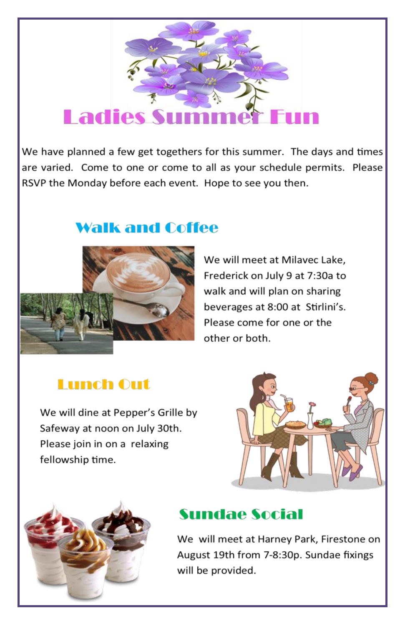# **Ladies Su**

We have planned a few get togethers for this summer. The days and times are varied. Come to one or come to all as your schedule permits. Please RSVP the Monday before each event. Hope to see you then.

## **Walk and Coffee**



We will meet at Milavec Lake, Frederick on July 9 at 7:30a to walk and will plan on sharing beverages at 8:00 at Stirlini's. Please come for one or the other or both.

## **Lunch Out**

We will dine at Pepper's Grille by Safeway at noon on July 30th. Please join in on a relaxing fellowship time.





## **Sundae Social**

We will meet at Harney Park, Firestone on August 19th from 7-8:30p. Sundae fixings will be provided.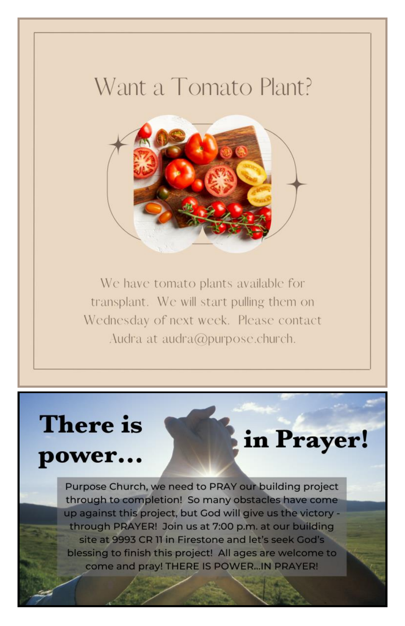## Want a Tomato Plant?



We have tomato plants available for transplant. We will start pulling them on Wednesday of next week. Please contact Audra at audra@purpose.church.

# **There** is

power...

in Prayer!

Purpose Church, we need to PRAY our building project through to completion! So many obstacles have come up against this project, but God will give us the victory through PRAYER! Join us at 7:00 p.m. at our building site at 9993 CR II in Firestone and let's seek God's blessing to finish this project! All ages are welcome to come and pray! THERE IS POWER... IN PRAYER!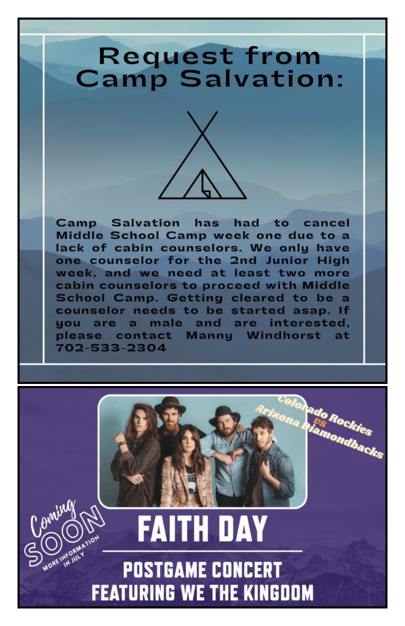## **Request from Camp Salvation:**



**Camp Salvation** has had to cancel Middle School Camp week one due to a lack of cabin counselors. We only have one counselor for the 2nd Junior High week, and we need at least two more cabin counselors to proceed with Middle School Camp. Getting cleared to be a counselor needs to be started asap. If a male and are interested. you are please contact Manny Windhorst 702-533-2304



# **FAITH DAY POSTGAME CONCERT FEATURING WE THE KINGDOM**

Coming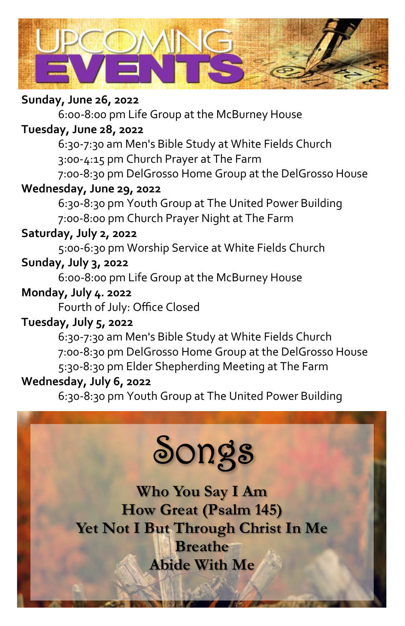

#### **Sunday, June 26, 2022**

6:00-8:00 pm Life Group at the McBurney House

#### **Tuesday, June 28, 2022**

6:30-7:30 am Men's Bible Study at White Fields Church 3:00-4:15 pm Church Prayer at The Farm

7:00-8:30 pm DelGrosso Home Group at the DelGrosso House

## **Wednesday, June 29, 2022**

6:30-8:30 pm Youth Group at The United Power Building 7:00-8:00 pm Church Prayer Night at The Farm

#### **Saturday, July 2, 2022**

5:00-6:30 pm Worship Service at White Fields Church

## **Sunday, July 3, 2022**

6:00-8:00 pm Life Group at the McBurney House

#### **Monday, July 4. 2022**

Fourth of July: Office Closed

## **Tuesday, July 5, 2022**

6:30-7:30 am Men's Bible Study at White Fields Church 7:00-8:30 pm DelGrosso Home Group at the DelGrosso House 5:30-8:30 pm Elder Shepherding Meeting at The Farm **Wednesday, July 6, 2022**

6:30-8:30 pm Youth Group at The United Power Building